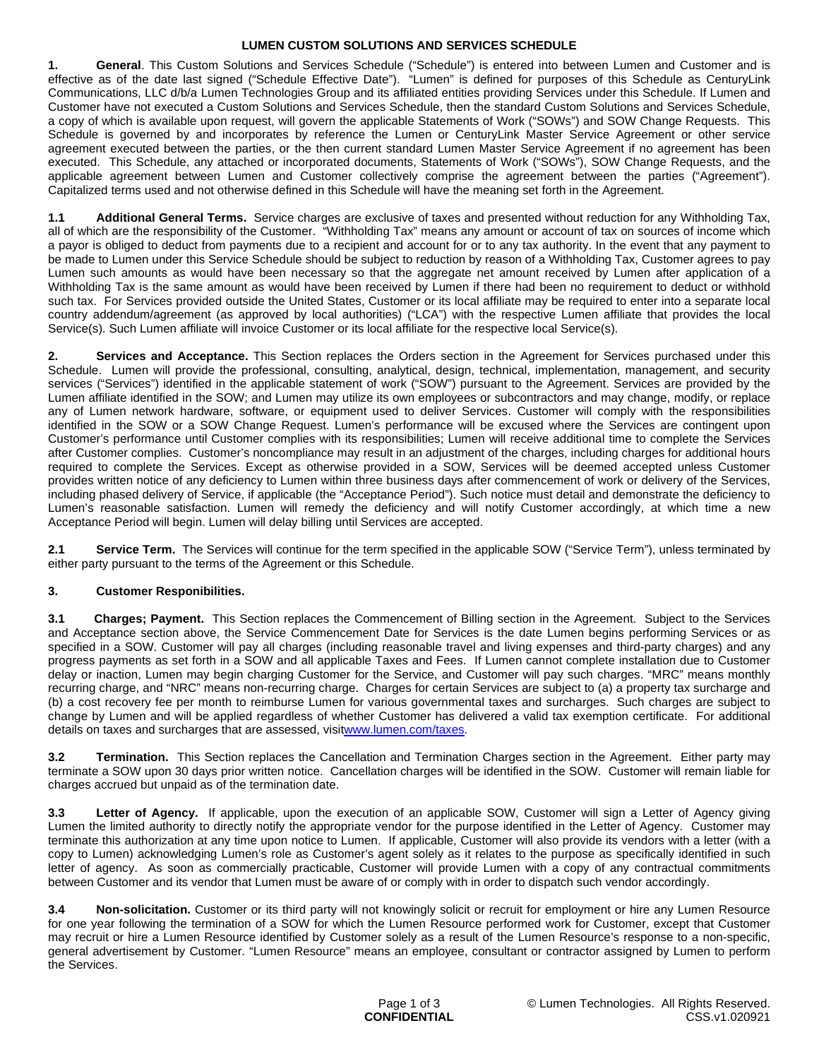# **LUMEN CUSTOM SOLUTIONS AND SERVICES SCHEDULE**

**1. General**. This Custom Solutions and Services Schedule ("Schedule") is entered into between Lumen and Customer and is effective as of the date last signed ("Schedule Effective Date"). "Lumen" is defined for purposes of this Schedule as CenturyLink Communications, LLC d/b/a Lumen Technologies Group and its affiliated entities providing Services under this Schedule. If Lumen and Customer have not executed a Custom Solutions and Services Schedule, then the standard Custom Solutions and Services Schedule, a copy of which is available upon request, will govern the applicable Statements of Work ("SOWs") and SOW Change Requests. This Schedule is governed by and incorporates by reference the Lumen or CenturyLink Master Service Agreement or other service agreement executed between the parties, or the then current standard Lumen Master Service Agreement if no agreement has been executed. This Schedule, any attached or incorporated documents, Statements of Work ("SOWs"), SOW Change Requests, and the applicable agreement between Lumen and Customer collectively comprise the agreement between the parties ("Agreement"). Capitalized terms used and not otherwise defined in this Schedule will have the meaning set forth in the Agreement.

**1.1 Additional General Terms.** Service charges are exclusive of taxes and presented without reduction for any Withholding Tax, all of which are the responsibility of the Customer. "Withholding Tax" means any amount or account of tax on sources of income which a payor is obliged to deduct from payments due to a recipient and account for or to any tax authority. In the event that any payment to be made to Lumen under this Service Schedule should be subject to reduction by reason of a Withholding Tax, Customer agrees to pay Lumen such amounts as would have been necessary so that the aggregate net amount received by Lumen after application of a Withholding Tax is the same amount as would have been received by Lumen if there had been no requirement to deduct or withhold such tax. For Services provided outside the United States, Customer or its local affiliate may be required to enter into a separate local country addendum/agreement (as approved by local authorities) ("LCA") with the respective Lumen affiliate that provides the local Service(s). Such Lumen affiliate will invoice Customer or its local affiliate for the respective local Service(s).

**2. Services and Acceptance.** This Section replaces the Orders section in the Agreement for Services purchased under this Schedule. Lumen will provide the professional, consulting, analytical, design, technical, implementation, management, and security services ("Services") identified in the applicable statement of work ("SOW") pursuant to the Agreement. Services are provided by the Lumen affiliate identified in the SOW; and Lumen may utilize its own employees or subcontractors and may change, modify, or replace any of Lumen network hardware, software, or equipment used to deliver Services. Customer will comply with the responsibilities identified in the SOW or a SOW Change Request. Lumen's performance will be excused where the Services are contingent upon Customer's performance until Customer complies with its responsibilities; Lumen will receive additional time to complete the Services after Customer complies. Customer's noncompliance may result in an adjustment of the charges, including charges for additional hours required to complete the Services. Except as otherwise provided in a SOW, Services will be deemed accepted unless Customer provides written notice of any deficiency to Lumen within three business days after commencement of work or delivery of the Services, including phased delivery of Service, if applicable (the "Acceptance Period"). Such notice must detail and demonstrate the deficiency to Lumen's reasonable satisfaction. Lumen will remedy the deficiency and will notify Customer accordingly, at which time a new Acceptance Period will begin. Lumen will delay billing until Services are accepted.

**2.1 Service Term.** The Services will continue for the term specified in the applicable SOW ("Service Term"), unless terminated by either party pursuant to the terms of the Agreement or this Schedule.

# **3. Customer Responibilities.**

**3.1 Charges; Payment.** This Section replaces the Commencement of Billing section in the Agreement. Subject to the Services and Acceptance section above, the Service Commencement Date for Services is the date Lumen begins performing Services or as specified in a SOW. Customer will pay all charges (including reasonable travel and living expenses and third-party charges) and any progress payments as set forth in a SOW and all applicable Taxes and Fees. If Lumen cannot complete installation due to Customer delay or inaction, Lumen may begin charging Customer for the Service, and Customer will pay such charges. "MRC" means monthly recurring charge, and "NRC" means non-recurring charge. Charges for certain Services are subject to (a) a property tax surcharge and (b) a cost recovery fee per month to reimburse Lumen for various governmental taxes and surcharges. Such charges are subject to change by Lumen and will be applied regardless of whether Customer has delivered a valid tax exemption certificate. For additional details on taxes and surcharges that are assessed, visi[twww.lumen.com/taxes](http://www.lumen.com/taxes).

**3.2 Termination.** This Section replaces the Cancellation and Termination Charges section in the Agreement. Either party may terminate a SOW upon 30 days prior written notice. Cancellation charges will be identified in the SOW. Customer will remain liable for charges accrued but unpaid as of the termination date.

**3.3** Letter of Agency. If applicable, upon the execution of an applicable SOW, Customer will sign a Letter of Agency giving Lumen the limited authority to directly notify the appropriate vendor for the purpose identified in the Letter of Agency. Customer may terminate this authorization at any time upon notice to Lumen. If applicable, Customer will also provide its vendors with a letter (with a copy to Lumen) acknowledging Lumen's role as Customer's agent solely as it relates to the purpose as specifically identified in such letter of agency. As soon as commercially practicable, Customer will provide Lumen with a copy of any contractual commitments between Customer and its vendor that Lumen must be aware of or comply with in order to dispatch such vendor accordingly.

**3.4 Non-solicitation.** Customer or its third party will not knowingly solicit or recruit for employment or hire any Lumen Resource for one year following the termination of a SOW for which the Lumen Resource performed work for Customer, except that Customer may recruit or hire a Lumen Resource identified by Customer solely as a result of the Lumen Resource's response to a non-specific, general advertisement by Customer. "Lumen Resource" means an employee, consultant or contractor assigned by Lumen to perform the Services.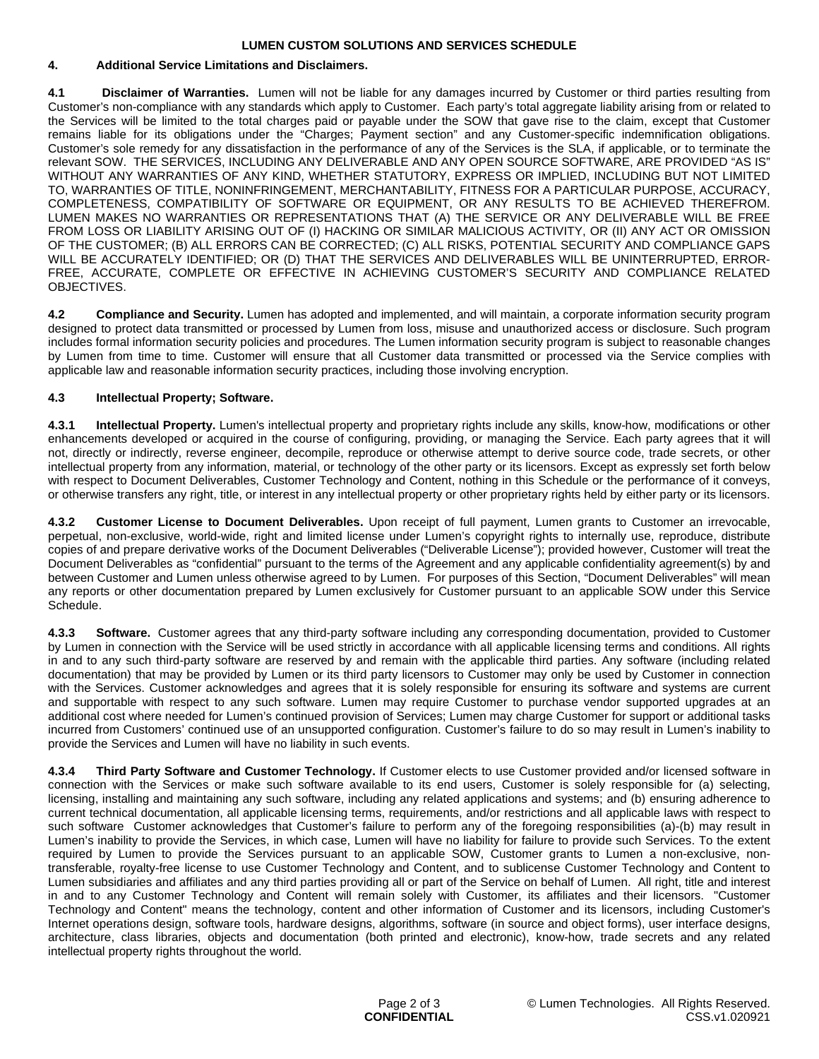#### **LUMEN CUSTOM SOLUTIONS AND SERVICES SCHEDULE**

## **4. Additional Service Limitations and Disclaimers.**

**4.1 Disclaimer of Warranties.** Lumen will not be liable for any damages incurred by Customer or third parties resulting from Customer's non-compliance with any standards which apply to Customer. Each party's total aggregate liability arising from or related to the Services will be limited to the total charges paid or payable under the SOW that gave rise to the claim, except that Customer remains liable for its obligations under the "Charges; Payment section" and any Customer-specific indemnification obligations. Customer's sole remedy for any dissatisfaction in the performance of any of the Services is the SLA, if applicable, or to terminate the relevant SOW. THE SERVICES, INCLUDING ANY DELIVERABLE AND ANY OPEN SOURCE SOFTWARE, ARE PROVIDED "AS IS" WITHOUT ANY WARRANTIES OF ANY KIND, WHETHER STATUTORY, EXPRESS OR IMPLIED, INCLUDING BUT NOT LIMITED TO, WARRANTIES OF TITLE, NONINFRINGEMENT, MERCHANTABILITY, FITNESS FOR A PARTICULAR PURPOSE, ACCURACY, COMPLETENESS, COMPATIBILITY OF SOFTWARE OR EQUIPMENT, OR ANY RESULTS TO BE ACHIEVED THEREFROM. LUMEN MAKES NO WARRANTIES OR REPRESENTATIONS THAT (A) THE SERVICE OR ANY DELIVERABLE WILL BE FREE FROM LOSS OR LIABILITY ARISING OUT OF (I) HACKING OR SIMILAR MALICIOUS ACTIVITY, OR (II) ANY ACT OR OMISSION OF THE CUSTOMER; (B) ALL ERRORS CAN BE CORRECTED; (C) ALL RISKS, POTENTIAL SECURITY AND COMPLIANCE GAPS WILL BE ACCURATELY IDENTIFIED; OR (D) THAT THE SERVICES AND DELIVERABLES WILL BE UNINTERRUPTED, ERROR-FREE, ACCURATE, COMPLETE OR EFFECTIVE IN ACHIEVING CUSTOMER'S SECURITY AND COMPLIANCE RELATED OBJECTIVES.

**4.2 Compliance and Security.** Lumen has adopted and implemented, and will maintain, a corporate information security program designed to protect data transmitted or processed by Lumen from loss, misuse and unauthorized access or disclosure. Such program includes formal information security policies and procedures. The Lumen information security program is subject to reasonable changes by Lumen from time to time. Customer will ensure that all Customer data transmitted or processed via the Service complies with applicable law and reasonable information security practices, including those involving encryption.

# **4.3 Intellectual Property; Software.**

**4.3.1 Intellectual Property.** Lumen's intellectual property and proprietary rights include any skills, know-how, modifications or other enhancements developed or acquired in the course of configuring, providing, or managing the Service. Each party agrees that it will not, directly or indirectly, reverse engineer, decompile, reproduce or otherwise attempt to derive source code, trade secrets, or other intellectual property from any information, material, or technology of the other party or its licensors. Except as expressly set forth below with respect to Document Deliverables, Customer Technology and Content, nothing in this Schedule or the performance of it conveys, or otherwise transfers any right, title, or interest in any intellectual property or other proprietary rights held by either party or its licensors.

**4.3.2 Customer License to Document Deliverables.** Upon receipt of full payment, Lumen grants to Customer an irrevocable, perpetual, non-exclusive, world-wide, right and limited license under Lumen's copyright rights to internally use, reproduce, distribute copies of and prepare derivative works of the Document Deliverables ("Deliverable License"); provided however, Customer will treat the Document Deliverables as "confidential" pursuant to the terms of the Agreement and any applicable confidentiality agreement(s) by and between Customer and Lumen unless otherwise agreed to by Lumen. For purposes of this Section, "Document Deliverables" will mean any reports or other documentation prepared by Lumen exclusively for Customer pursuant to an applicable SOW under this Service Schedule.

**4.3.3 Software.** Customer agrees that any third-party software including any corresponding documentation, provided to Customer by Lumen in connection with the Service will be used strictly in accordance with all applicable licensing terms and conditions. All rights in and to any such third-party software are reserved by and remain with the applicable third parties. Any software (including related documentation) that may be provided by Lumen or its third party licensors to Customer may only be used by Customer in connection with the Services. Customer acknowledges and agrees that it is solely responsible for ensuring its software and systems are current and supportable with respect to any such software. Lumen may require Customer to purchase vendor supported upgrades at an additional cost where needed for Lumen's continued provision of Services; Lumen may charge Customer for support or additional tasks incurred from Customers' continued use of an unsupported configuration. Customer's failure to do so may result in Lumen's inability to provide the Services and Lumen will have no liability in such events.

**4.3.4 Third Party Software and Customer Technology.** If Customer elects to use Customer provided and/or licensed software in connection with the Services or make such software available to its end users, Customer is solely responsible for (a) selecting, licensing, installing and maintaining any such software, including any related applications and systems; and (b) ensuring adherence to current technical documentation, all applicable licensing terms, requirements, and/or restrictions and all applicable laws with respect to such software Customer acknowledges that Customer's failure to perform any of the foregoing responsibilities (a)-(b) may result in Lumen's inability to provide the Services, in which case, Lumen will have no liability for failure to provide such Services. To the extent required by Lumen to provide the Services pursuant to an applicable SOW, Customer grants to Lumen a non-exclusive, nontransferable, royalty-free license to use Customer Technology and Content, and to sublicense Customer Technology and Content to Lumen subsidiaries and affiliates and any third parties providing all or part of the Service on behalf of Lumen. All right, title and interest in and to any Customer Technology and Content will remain solely with Customer, its affiliates and their licensors. "Customer Technology and Content" means the technology, content and other information of Customer and its licensors, including Customer's Internet operations design, software tools, hardware designs, algorithms, software (in source and object forms), user interface designs, architecture, class libraries, objects and documentation (both printed and electronic), know-how, trade secrets and any related intellectual property rights throughout the world.